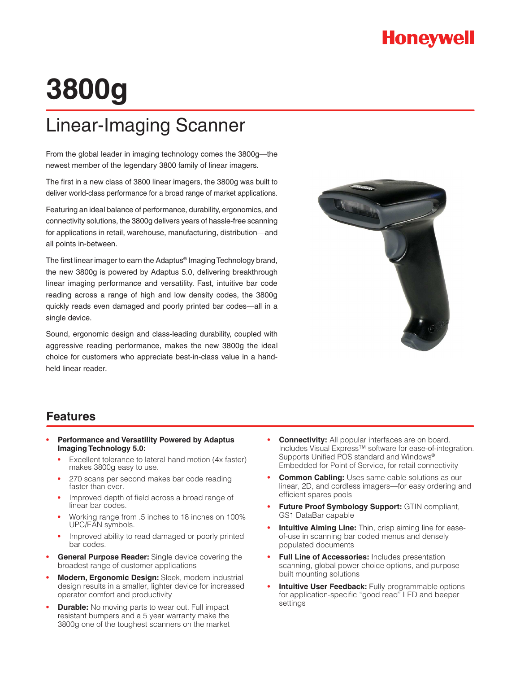### **Honeywell**

# **3800g**

## Linear-Imaging Scanner

From the global leader in imaging technology comes the 3800g—the newest member of the legendary 3800 family of linear imagers.

The first in a new class of 3800 linear imagers, the 3800g was built to deliver world-class performance for a broad range of market applications.

Featuring an ideal balance of performance, durability, ergonomics, and connectivity solutions, the 3800g delivers years of hassle-free scanning for applications in retail, warehouse, manufacturing, distribution—and all points in-between.

The first linear imager to earn the Adaptus® Imaging Technology brand, the new 3800g is powered by Adaptus 5.0, delivering breakthrough linear imaging performance and versatility. Fast, intuitive bar code reading across a range of high and low density codes, the 3800g quickly reads even damaged and poorly printed bar codes—all in a single device.

Sound, ergonomic design and class-leading durability, coupled with aggressive reading performance, makes the new 3800g the ideal choice for customers who appreciate best-in-class value in a handheld linear reader.



#### **Features**

- **Performance and Versatility Powered by Adaptus Imaging Technology 5.0:** 
	- **•** Excellent tolerance to lateral hand motion (4x faster) makes 3800g easy to use.
	- **•** 270 scans per second makes bar code reading faster than ever.
	- **•** Improved depth of field across a broad range of linear bar codes.
	- **•** Working range from .5 inches to 18 inches on 100% UPC/EAN symbols.
	- **•** Improved ability to read damaged or poorly printed bar codes.
- **General Purpose Reader:** Single device covering the broadest range of customer applications
- **Modern, Ergonomic Design:** Sleek, modern industrial design results in a smaller, lighter device for increased operator comfort and productivity
- **• Durable:** No moving parts to wear out. Full impact resistant bumpers and a 5 year warranty make the 3800g one of the toughest scanners on the market
- **• Connectivity:** All popular interfaces are on board. Includes Visual Express™ software for ease-of-integration. Supports Unified POS standard and Windows® Embedded for Point of Service, for retail connectivity
- **Common Cabling:** Uses same cable solutions as our linear, 2D, and cordless imagers—for easy ordering and efficient spares pools
- **Future Proof Symbology Support:** GTIN compliant, GS1 DataBar capable
- **Intuitive Aiming Line:** Thin, crisp aiming line for easeof-use in scanning bar coded menus and densely populated documents
- **Full Line of Accessories:** Includes presentation scanning, global power choice options, and purpose built mounting solutions
- **Intuitive User Feedback:** Fully programmable options for application-specific "good read" LED and beeper settings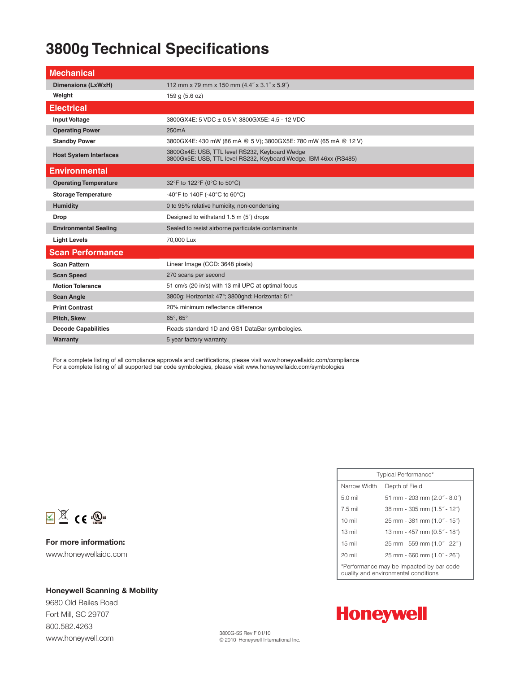### **3800g Technical Specifications**

| <b>Mechanical</b>             |                                                                                                                    |
|-------------------------------|--------------------------------------------------------------------------------------------------------------------|
| <b>Dimensions (LxWxH)</b>     | 112 mm x 79 mm x 150 mm (4.4" x 3.1" x 5.9")                                                                       |
| Weight                        | 159 g (5.6 oz)                                                                                                     |
| <b>Electrical</b>             |                                                                                                                    |
| <b>Input Voltage</b>          | 3800GX4E: 5 VDC ± 0.5 V; 3800GX5E: 4.5 - 12 VDC                                                                    |
| <b>Operating Power</b>        | 250 <sub>m</sub> A                                                                                                 |
| <b>Standby Power</b>          | 3800GX4E: 430 mW (86 mA @ 5 V); 3800GX5E: 780 mW (65 mA @ 12 V)                                                    |
| <b>Host System Interfaces</b> | 3800Gx4E: USB, TTL level RS232, Keyboard Wedge<br>3800Gx5E: USB, TTL level RS232, Keyboard Wedge, IBM 46xx (RS485) |
| <b>Environmental</b>          |                                                                                                                    |
| <b>Operating Temperature</b>  | 32°F to 122°F (0°C to 50°C)                                                                                        |
| <b>Storage Temperature</b>    | -40°F to 140F (-40°C to 60°C)                                                                                      |
| <b>Humidity</b>               | 0 to 95% relative humidity, non-condensing                                                                         |
| <b>Drop</b>                   | Designed to withstand 1.5 m (5) drops                                                                              |
| <b>Environmental Sealing</b>  | Sealed to resist airborne particulate contaminants                                                                 |
| <b>Light Levels</b>           | 70,000 Lux                                                                                                         |
| <b>Scan Performance</b>       |                                                                                                                    |
| <b>Scan Pattern</b>           | Linear Image (CCD: 3648 pixels)                                                                                    |
| <b>Scan Speed</b>             | 270 scans per second                                                                                               |
| <b>Motion Tolerance</b>       | 51 cm/s (20 in/s) with 13 mil UPC at optimal focus                                                                 |
| <b>Scan Angle</b>             | 3800g: Horizontal: 47°; 3800ghd: Horizontal: 51°                                                                   |
| <b>Print Contrast</b>         | 20% minimum reflectance difference                                                                                 |
| Pitch, Skew                   | 65°, 65°                                                                                                           |
| <b>Decode Capabilities</b>    | Reads standard 1D and GS1 DataBar symbologies.                                                                     |
| Warranty                      | 5 year factory warranty                                                                                            |

For a complete listing of all compliance approvals and certifications, please visit www.honeywellaidc.com/compliance For a complete listing of all supported bar code symbologies, please visit www.honeywellaidc.com/symbologies



**For more information:** www.honeywellaidc.com

#### **Honeywell Scanning & Mobility**

9680 Old Bailes Road Fort Mill, SC 29707 800.582.4263 www.honeywell.com

| Typical Performance*                                                             |                              |  |
|----------------------------------------------------------------------------------|------------------------------|--|
| Narrow Width                                                                     | Depth of Field               |  |
| $5.0$ mil                                                                        | 51 mm - 203 mm (2.0" - 8.0") |  |
| 7.5 mil                                                                          | 38 mm - 305 mm (1.5" - 12")  |  |
| $10 \text{ mil}$                                                                 | 25 mm - 381 mm (1.0" - 15")  |  |
| $13 \text{ mil}$                                                                 | 13 mm - 457 mm (0.5" - 18")  |  |
| $15 \text{ mil}$                                                                 | 25 mm - 559 mm (1.0" - 22")  |  |
| $20 \text{ mil}$                                                                 | 25 mm - 660 mm (1.0" - 26")  |  |
| *Performance may be impacted by bar code<br>quality and environmental conditions |                              |  |



3800G-SS Rev F 01/10 © 2010 Honeywell International Inc.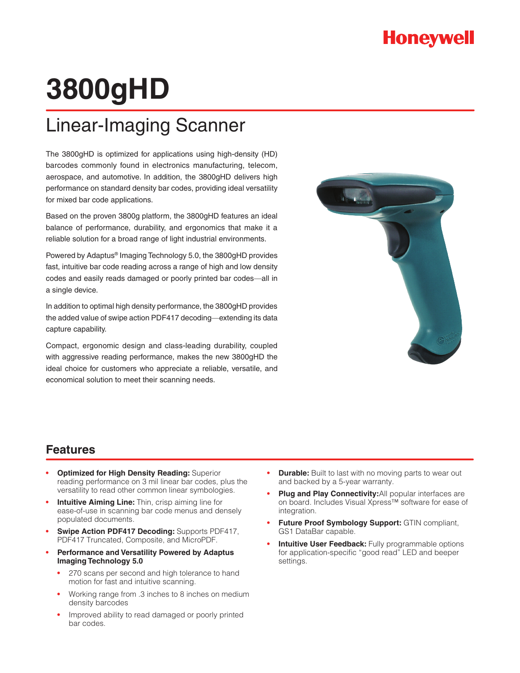# **3800gHD**

## Linear-Imaging Scanner

The 3800gHD is optimized for applications using high-density (HD) barcodes commonly found in electronics manufacturing, telecom, aerospace, and automotive. In addition, the 3800gHD delivers high performance on standard density bar codes, providing ideal versatility for mixed bar code applications.

Based on the proven 3800g platform, the 3800gHD features an ideal balance of performance, durability, and ergonomics that make it a reliable solution for a broad range of light industrial environments.

Powered by Adaptus® Imaging Technology 5.0, the 3800gHD provides fast, intuitive bar code reading across a range of high and low density codes and easily reads damaged or poorly printed bar codes—all in a single device.

In addition to optimal high density performance, the 3800gHD provides the added value of swipe action PDF417 decoding—extending its data capture capability.

Compact, ergonomic design and class-leading durability, coupled with aggressive reading performance, makes the new 3800gHD the ideal choice for customers who appreciate a reliable, versatile, and economical solution to meet their scanning needs.



#### **Features**

- **Optimized for High Density Reading: Superior** reading performance on 3 mil linear bar codes, plus the versatility to read other common linear symbologies.
- **Intuitive Aiming Line:** Thin, crisp aiming line for ease-of-use in scanning bar code menus and densely populated documents.
- **Swipe Action PDF417 Decoding: Supports PDF417,** PDF417 Truncated, Composite, and MicroPDF.
- **Performance and Versatility Powered by Adaptus Imaging Technology 5.0** 
	- **•** 270 scans per second and high tolerance to hand motion for fast and intuitive scanning.
	- **•** Working range from .3 inches to 8 inches on medium density barcodes
	- **•** Improved ability to read damaged or poorly printed bar codes.
- **Durable:** Built to last with no moving parts to wear out and backed by a 5-year warranty.
- Plug and Play Connectivity: All popular interfaces are on board. Includes Visual Xpress™ software for ease of integration.
- **Future Proof Symbology Support: GTIN compliant,** GS1 DataBar capable.
- **•** Intuitive User Feedback: Fully programmable options for application-specific "good read" LED and beeper settings.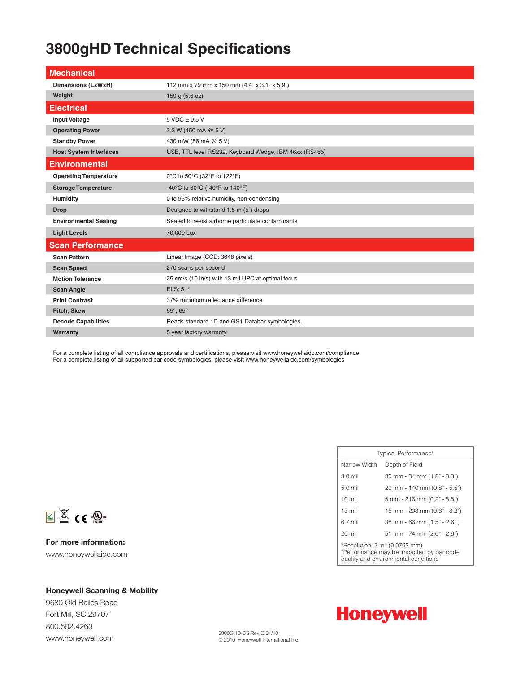#### **3800gHD Technical Specifications**

| <b>Mechanical</b>             |                                                        |
|-------------------------------|--------------------------------------------------------|
| Dimensions (LxWxH)            | 112 mm x 79 mm x 150 mm (4.4" x 3.1" x 5.9")           |
| Weight                        | 159 g (5.6 oz)                                         |
| <b>Electrical</b>             |                                                        |
| <b>Input Voltage</b>          | $5$ VDC $\pm$ 0.5 V                                    |
| <b>Operating Power</b>        | 2.3 W (450 mA @ 5 V)                                   |
| <b>Standby Power</b>          | 430 mW (86 mA @ 5 V)                                   |
| <b>Host System Interfaces</b> | USB, TTL level RS232, Keyboard Wedge, IBM 46xx (RS485) |
| <b>Environmental</b>          |                                                        |
| <b>Operating Temperature</b>  | 0°C to 50°C (32°F to 122°F)                            |
| <b>Storage Temperature</b>    | -40°C to 60°C (-40°F to 140°F)                         |
| <b>Humidity</b>               | 0 to 95% relative humidity, non-condensing             |
| <b>Drop</b>                   | Designed to withstand 1.5 m (5) drops                  |
| <b>Environmental Sealing</b>  | Sealed to resist airborne particulate contaminants     |
| <b>Light Levels</b>           | 70,000 Lux                                             |
| <b>Scan Performance</b>       |                                                        |
| <b>Scan Pattern</b>           | Linear Image (CCD: 3648 pixels)                        |
| <b>Scan Speed</b>             | 270 scans per second                                   |
| <b>Motion Tolerance</b>       | 25 cm/s (10 in/s) with 13 mil UPC at optimal focus     |
| <b>Scan Angle</b>             | ELS: 51°                                               |
| <b>Print Contrast</b>         | 37% minimum reflectance difference                     |
| Pitch, Skew                   | 65°, 65°                                               |
| <b>Decode Capabilities</b>    | Reads standard 1D and GS1 Databar symbologies.         |
| Warranty                      | 5 year factory warranty                                |

For a complete listing of all compliance approvals and certifications, please visit www.honeywellaidc.com/compliance For a complete listing of all supported bar code symbologies, please visit www.honeywellaidc.com/symbologies

| Typical Performance*                                                                                               |                              |  |
|--------------------------------------------------------------------------------------------------------------------|------------------------------|--|
| Narrow Width                                                                                                       | Depth of Field               |  |
| $3.0$ mil                                                                                                          | 30 mm - 84 mm (1.2" - 3.3")  |  |
| $5.0$ mil                                                                                                          | 20 mm - 140 mm (0.8" - 5.5") |  |
| $10 \text{ mil}$                                                                                                   | 5 mm - 216 mm (0.2" - 8.5")  |  |
| $13 \text{ mil}$                                                                                                   | 15 mm - 208 mm (0.6" - 8.2") |  |
| 6.7 mil                                                                                                            | 38 mm - 66 mm (1.5" - 2.6")  |  |
| 20 mil                                                                                                             | 51 mm - 74 mm (2.0" - 2.9")  |  |
| *Resolution: 3 mil (0.0762 mm)<br>*Performance may be impacted by bar code<br>quality and environmental conditions |                              |  |



**For more information:** www.honeywellaidc.com

#### **Honeywell Scanning & Mobility**

9680 Old Bailes Road Fort Mill, SC 29707 800.582.4263 www.honeywell.com



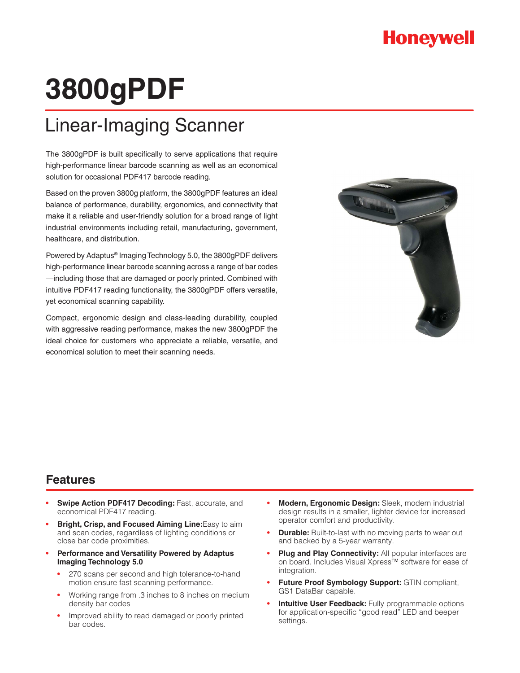### **Honeywell**

# **3800gPDF**

## Linear-Imaging Scanner

The 3800gPDF is built specifically to serve applications that require high-performance linear barcode scanning as well as an economical solution for occasional PDF417 barcode reading.

Based on the proven 3800g platform, the 3800gPDF features an ideal balance of performance, durability, ergonomics, and connectivity that make it a reliable and user-friendly solution for a broad range of light industrial environments including retail, manufacturing, government, healthcare, and distribution.

Powered by Adaptus® Imaging Technology 5.0, the 3800gPDF delivers high-performance linear barcode scanning across a range of bar codes —including those that are damaged or poorly printed. Combined with intuitive PDF417 reading functionality, the 3800gPDF offers versatile, yet economical scanning capability.

Compact, ergonomic design and class-leading durability, coupled with aggressive reading performance, makes the new 3800gPDF the ideal choice for customers who appreciate a reliable, versatile, and economical solution to meet their scanning needs.



#### **Features**

- **Swipe Action PDF417 Decoding: Fast, accurate, and** economical PDF417 reading.
- **Bright, Crisp, and Focused Aiming Line:**Easy to aim and scan codes, regardless of lighting conditions or close bar code proximities.
- **Performance and Versatility Powered by Adaptus Imaging Technology 5.0** 
	- **•** 270 scans per second and high tolerance-to-hand motion ensure fast scanning performance.
	- **•** Working range from .3 inches to 8 inches on medium density bar codes
	- **•** Improved ability to read damaged or poorly printed bar codes.
- **• Modern,ErgonomicDesign:**Sleek, modern industrial design results in a smaller, lighter device for increased operator comfort and productivity.
- **Durable:** Built-to-last with no moving parts to wear out and backed by a 5-year warranty.
- **• Plug and Play Connectivity:** All popular interfaces are on board. Includes Visual Xpress™ software for ease of integration.
- **Future Proof Symbology Support: GTIN compliant,** GS1 DataBar capable.
- **Intuitive User Feedback:** Fully programmable options for application-specific "good read" LED and beeper settings.